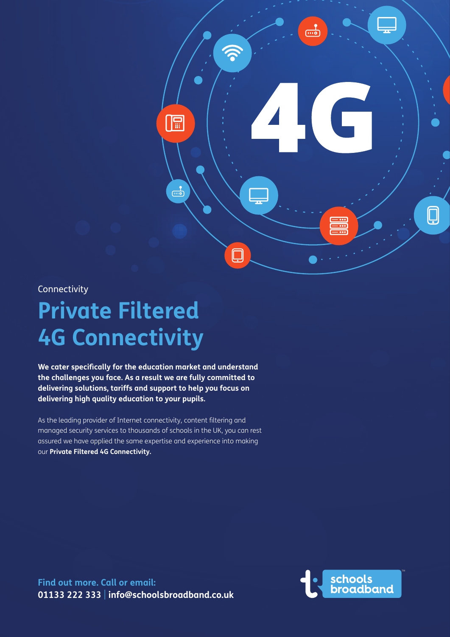

**Connectivity** 

# **Private Filtered 4G Connectivity**

**We cater specifically for the education market and understand the challenges you face. As a result we are fully committed to delivering solutions, tariffs and support to help you focus on delivering high quality education to your pupils.**

As the leading provider of Internet connectivity, content filtering and managed security services to thousands of schools in the UK, you can rest assured we have applied the same expertise and experience into making our **Private Filtered 4G Connectivity.**